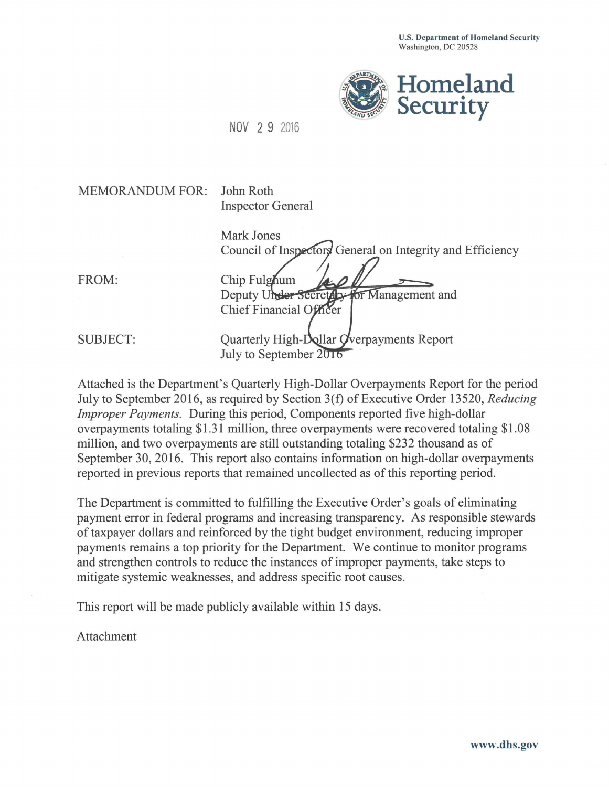**U.S. Department of Homeland Security**  Washington, DC 20528



NOV 2 9 2016

| <b>MEMORANDUM FOR:</b> | John Roth<br><b>Inspector General</b>                     |
|------------------------|-----------------------------------------------------------|
|                        |                                                           |
|                        | <b>Mark Jones</b>                                         |
|                        | Council of Inspectors General on Integrity and Efficiency |
|                        |                                                           |
| FROM:                  | Chip Fulghum                                              |
|                        | Deputy Under Secretary for Management and                 |
|                        | Chief Financial Officer                                   |
|                        |                                                           |
| <b>SUBJECT:</b>        | Quarterly High-Dollar Overpayments Report                 |
|                        | July to September 2016                                    |
|                        |                                                           |

Attached is the Department's Quarterly High-Dollar Overpayments Report for the period July to September 2016, as required by Section 3(t) of Executive Order 13520, *Reducing Improper Payments.* During this period, Components reported five high-dollar overpayments totaling \$1.31 million, three overpayments were recovered totaling \$1.08 million, and two overpayments are still outstanding totaling \$232 thousand as of September 30, 2016. This report also contains information on high-dollar overpayments reported in previous reports that remained uncollected as of this reporting period.

The Department is committed to fulfilling the Executive Order's goals of eliminating payment error in federal programs and increasing transparency. As responsible stewards of taxpayer dollars and reinforced by the tight budget environment, reducing improper payments remains a top priority for the Department. We continue to monitor programs and strengthen controls to reduce the instances of improper payments, take steps to mitigate systemic weaknesses, and address specific root causes.

This report will be made publicly available within 15 days.

Attachment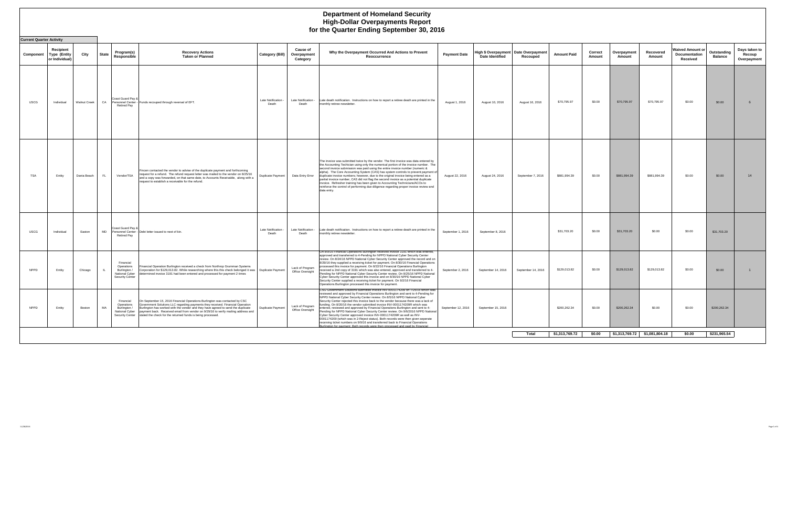## **Department of Homeland Security High-Dollar Overpayments Report**

|             | for the Quarter Ending September 30, 2016          |                     |              |                                                                              |                                                                                                                                                                                                                                                                                                                                                                                                                                     |                            |                                            |                                                                                                                                                                                                                                                                                                                                                                                                                                                                                                                                                                                                                                                                                                                                                                                                                                                                                                                                 |                     |                                                                  |                    |                    |                   |                       |                               |                                                      |                               |                                        |
|-------------|----------------------------------------------------|---------------------|--------------|------------------------------------------------------------------------------|-------------------------------------------------------------------------------------------------------------------------------------------------------------------------------------------------------------------------------------------------------------------------------------------------------------------------------------------------------------------------------------------------------------------------------------|----------------------------|--------------------------------------------|---------------------------------------------------------------------------------------------------------------------------------------------------------------------------------------------------------------------------------------------------------------------------------------------------------------------------------------------------------------------------------------------------------------------------------------------------------------------------------------------------------------------------------------------------------------------------------------------------------------------------------------------------------------------------------------------------------------------------------------------------------------------------------------------------------------------------------------------------------------------------------------------------------------------------------|---------------------|------------------------------------------------------------------|--------------------|--------------------|-------------------|-----------------------|-------------------------------|------------------------------------------------------|-------------------------------|----------------------------------------|
|             | <b>Current Quarter Activity</b>                    |                     |              |                                                                              |                                                                                                                                                                                                                                                                                                                                                                                                                                     |                            |                                            |                                                                                                                                                                                                                                                                                                                                                                                                                                                                                                                                                                                                                                                                                                                                                                                                                                                                                                                                 |                     |                                                                  |                    |                    |                   |                       |                               |                                                      |                               |                                        |
| Component   | Recipient<br><b>Type (Entity</b><br>or Individual) | City                | <b>State</b> | Program(s)<br>Responsible                                                    | <b>Recovery Actions</b><br><b>Taken or Planned</b>                                                                                                                                                                                                                                                                                                                                                                                  | Category (Bill)            | <b>Cause of</b><br>Overpayment<br>Category | Why the Overpayment Occurred And Actions to Prevent<br>Reoccurrence                                                                                                                                                                                                                                                                                                                                                                                                                                                                                                                                                                                                                                                                                                                                                                                                                                                             | <b>Payment Date</b> | High \$ Overpayment   Date Overpayment<br><b>Date Identified</b> | Recouped           | <b>Amount Paid</b> | Correct<br>Amount | Overpayment<br>Amount | Recovered<br>Amount           | <b>Waived Amount or</b><br>Documentation<br>Received | Outstanding<br><b>Balance</b> | Days taken to<br>Recoup<br>Overpayment |
| <b>USCG</b> | Individual                                         | <b>Walnut Creek</b> | CA           | Coast Guard Pay &<br><b>Retired Pav</b>                                      | Personnel Center - Funds recouped through reversal of EFT.                                                                                                                                                                                                                                                                                                                                                                          | Late Notification<br>Death | Late Notification -<br>Death               | Late death notification. Instructions on how to report a retiree death are printed in the<br>monthly retiree newsletter.                                                                                                                                                                                                                                                                                                                                                                                                                                                                                                                                                                                                                                                                                                                                                                                                        | August 1, 2016      | August 10, 2016                                                  | August 16, 2016    | \$70,795.97        | \$0.00            | \$70,795.97           | \$70,795.97                   | \$0.00                                               | \$0.00                        | 6                                      |
| <b>TSA</b>  | Entity                                             | Dania Beach         | FL.          | Vendor/TSA                                                                   | Fincen contacted the vendor to advise of the duplicate payment and forthcoming<br>request for a refund. The refund request letter was mailed to the vendor on 8/25/16<br>and a copy was forwarded, on that same date, to Accounts Receivable, along with a<br>request to establish a receivable for the refund.                                                                                                                     | Duplicate Payment          |                                            | The invoice was submitted twice by the vendor. The first invoice was data entered by<br>the Accounting Techician using only the numerical portion of the invoice number. The<br>second invoice submission was paid using the entire invoice number (numeric &<br>alpha). The Core Accounting System (CAS) has system controls to prevent payment of<br>Data Entry Error duplicate invoice numbers; however, due to the original invoice being entered as a<br>partial invoice number, CAS did not flag the second invoice as a potential duplicate<br>invoice. Refresher training has been given to Accounting Technicians/ACOs to<br>reinforce the control of performing due diligence regarding proper invoice review and<br>data entry.                                                                                                                                                                                      | August 22, 2016     | August 24, 2016                                                  | September 7, 2016  | \$881,994.39       | \$0.00            | \$881,994.39          | \$881,994.39                  | \$0.00                                               | \$0.00                        | 14                                     |
| <b>USCG</b> | Individual                                         | Easton              | MD           | Coast Guard Pay &<br><b>Retired Pay</b>                                      | Personnel Center - Debt letter issued to next of kin.                                                                                                                                                                                                                                                                                                                                                                               | Late Notification<br>Death | Late Notification -<br>Death               | Late death notification. Instructions on how to report a retiree death are printed in the<br>monthly retiree newsletter.                                                                                                                                                                                                                                                                                                                                                                                                                                                                                                                                                                                                                                                                                                                                                                                                        | September 1, 2016   | September 8, 2016                                                |                    | \$31,703.20        | \$0.00            | \$31,703.20           | \$0.00                        | \$0.00                                               | \$31,703.20                   |                                        |
| <b>NPPD</b> | Entity                                             | Chicago             | IL.          | Financial<br>Operations<br>Burlington /<br>National Cyber<br>Security Center | Financial Operation Burlington received a check from Northrop Grumman Systems<br>Corporation for \$129,013.82. While researching where this this check belonged it was   Duplicate Payment<br>determined invoice 3191 had been entered and processed for payment 2 times                                                                                                                                                            |                            | Lack of Program<br>Office Oversight        | On 8/9/16 Financial Operations Burlington received invoice 3191 which was entered,<br>approved and transferred to 4-Pending for NPPD National Cyber Security Center<br>review. On 8/24/16 NPPD National Cyber Security Center approved the record and on<br>8/29/16 they supplied a receiving ticket for payment. On 8/30/16 Financial Operations<br>processed this invoice for payment. On 8/22/16 Financial Operations Burlington<br>received a 2nd copy of 3191 which was also entered, approved and transferred to 4-<br>Pending for NPPD National Cyber Security Center review. On 8/25/16 NPPD National<br>Cyber Security Center approved this invoice and on 8/30/16 NPPD National Cyber<br>Security Center supplied a receiving ticket for payment. On 9/2/16 Financial<br>Operations Burlington processed this invoice for payment.                                                                                    | September 2, 2016   | September 14, 2016                                               | September 14, 2016 | \$129,013.82       | \$0.00            | \$129,013.82          | \$129,013.82                  | \$0.00                                               | \$0.00                        |                                        |
| <b>NPPD</b> | Entity                                             | Boston              | MA           | Financial<br>Operations<br>Burlington /                                      | On September 15, 2016 Financial Operations Burlington was contacted by CSC<br>Government Solutions LLC regarding payments they received. Financial Operation<br>Burlington has worked with the vendor and they have agreed to send the duplicate<br>National Cyber payment back. Received email from vendor on 9/29/16 to verify mailing address and<br>Security Center stated the check for the returned funds is being processed. | Duplicate Payment          | Lack of Program<br>Office Oversight        | CSG Government Solutions submitted invoice INV-0001174209 on 7/25/16 which was<br>reviewed and approved by Financial Operations Burlington and sent to 4-Pending for<br>NPPD National Cyber Security Center review. On 8/5/16 NPPD National Cyber<br>Security Center rejected this invoice back to the vendor because there was a lack of<br>funding. On 8/20/16 the vendor submitted invoice INV-0001174209R which was<br>entered, reviewed and approved by Financial Operations Burlington and sent to 4-<br>Pending for NPPD National Cyber Security Center review. On 9/6/2016 NPPD National<br>Cyber Security Center approved invoice INV-0001174209R as well as INV-<br>0001174209 (which was in 2-Reject status). Both records were then given seperate<br>receiving ticket numbers on 9/9/16 and transferred back to Financial Operations<br>ington for nayment. Both records were then processed and naid by Financial | September 12, 2016  | September 15, 2016                                               |                    | \$200,262.34       | \$0.00            | \$200,262.34          | \$0.00                        | \$0.00                                               | \$200,262.34                  |                                        |
|             |                                                    |                     |              |                                                                              |                                                                                                                                                                                                                                                                                                                                                                                                                                     |                            |                                            |                                                                                                                                                                                                                                                                                                                                                                                                                                                                                                                                                                                                                                                                                                                                                                                                                                                                                                                                 |                     |                                                                  | Total              | \$1,313,769.72     | \$0.00            |                       | \$1,313,769.72 \$1,081,804.18 | \$0.00                                               | \$231,965.54                  |                                        |
|             |                                                    |                     |              |                                                                              |                                                                                                                                                                                                                                                                                                                                                                                                                                     |                            |                                            |                                                                                                                                                                                                                                                                                                                                                                                                                                                                                                                                                                                                                                                                                                                                                                                                                                                                                                                                 |                     |                                                                  |                    |                    |                   |                       |                               |                                                      |                               |                                        |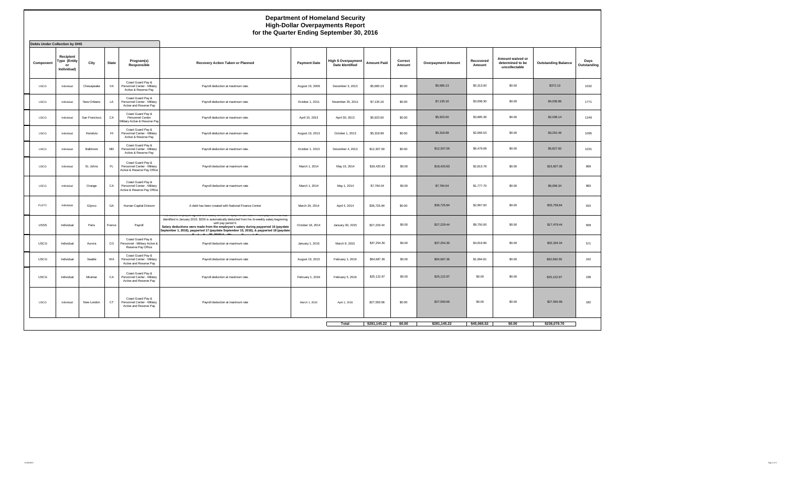|             | <b>Department of Homeland Security</b><br><b>High-Dollar Overpayments Report</b><br>for the Quarter Ending September 30, 2016<br><b>Debts Under Collection by DHS</b> |               |              |                                                                                 |                                                                                                                                                                                                                                                                                                                                                                                                     |                     |                                               |                    |                   |                           |                     |                                                       |                            |                     |
|-------------|-----------------------------------------------------------------------------------------------------------------------------------------------------------------------|---------------|--------------|---------------------------------------------------------------------------------|-----------------------------------------------------------------------------------------------------------------------------------------------------------------------------------------------------------------------------------------------------------------------------------------------------------------------------------------------------------------------------------------------------|---------------------|-----------------------------------------------|--------------------|-------------------|---------------------------|---------------------|-------------------------------------------------------|----------------------------|---------------------|
| Component   | Recipient<br>Type (Entity<br>or<br>Individual)                                                                                                                        | City          | <b>State</b> | Program(s)<br>Responsible                                                       | <b>Recovery Action Taken or Planned</b>                                                                                                                                                                                                                                                                                                                                                             | <b>Payment Date</b> | High \$ Overpayment<br><b>Date Identified</b> | <b>Amount Paid</b> | Correct<br>Amount | <b>Overpayment Amount</b> | Recovered<br>Amount | Amount waived or<br>determined to be<br>uncollectable | <b>Outstanding Balance</b> | Days<br>Outstanding |
| <b>USCG</b> | Individual                                                                                                                                                            | Chesapeake    | VA           | Coast Guard Pay &<br>Personnel Center - Military<br>Active & Reserve Pay        | Payroll deduction at maximum rate.                                                                                                                                                                                                                                                                                                                                                                  | August 15, 2009     | December 3, 2013                              | \$5,685.13         | \$0.00            | \$5,685.13                | \$5,313.00          | \$0.00                                                | \$372.13                   | 1032                |
| <b>USCG</b> | Individual                                                                                                                                                            | New Orleans   | LA           | Coast Guard Pay &<br>Personnel Center - Military<br>Active and Reserve Pay      | Payroll deduction at maximum rate.                                                                                                                                                                                                                                                                                                                                                                  | October 1, 2011     | November 25, 2011                             | \$7,135.16         | \$0.00            | \$7,135.16                | \$3,098.30          | \$0.00                                                | \$4,036.86                 | 1771                |
| <b>USCG</b> | Individual                                                                                                                                                            | San Francisco | CA           | Coast Guard Pay &<br>Personnel Center<br>Military Active & Reserve Pay          | Payroll deduction at maximum rate.                                                                                                                                                                                                                                                                                                                                                                  | April 15, 2013      | April 30, 2013                                | \$5,923.50         | \$0.00            | \$5,923.50                | \$3,885.36          | \$0.00                                                | \$2,038.14                 | 1249                |
| <b>USCG</b> | Individual                                                                                                                                                            | Honolulu      | H1           | Coast Guard Pay &<br>Personnel Center - Militarv<br>Active & Reserve Pay        | Payroll deduction at maximum rate.                                                                                                                                                                                                                                                                                                                                                                  | August 15, 2013     | October 1, 2013                               | \$5,318.99         | \$0.00            | \$5,318.99                | \$2,066.53          | \$0.00                                                | \$3,252.46                 | 1095                |
| <b>USCG</b> | Individual                                                                                                                                                            | Baltimore     | MD           | Coast Guard Pay &<br>Personnel Center - Military<br>Active & Reserve Pay        | Payroll deduction at maximum rate.                                                                                                                                                                                                                                                                                                                                                                  | October 1, 2013     | December 4, 2013                              | \$12,307.00        | \$0.00            | \$12,307.00               | \$6,479.08          | \$0.00                                                | \$5,827.92                 | 1031                |
| <b>USCG</b> | Individual                                                                                                                                                            | St. Johns     | FL.          | Coast Guard Pay &<br>Personnel Center - Military<br>Active & Reserve Pay Office | Payroll deduction at maximum rate                                                                                                                                                                                                                                                                                                                                                                   | March 1, 2014       | May 15, 2014                                  | \$18,420.83        | \$0.00            | \$18,420.83               | \$2,813.78          | \$0.00                                                | \$15,607.05                | 869                 |
| <b>USCG</b> | Individual                                                                                                                                                            | Orange        | CA           | Coast Guard Pay &<br>Personnel Center - Military<br>Active & Reserve Pay Office | Payroll deduction at maximum rate                                                                                                                                                                                                                                                                                                                                                                   | March 1, 2014       | May 1, 2014                                   | \$7,784.04         | \$0.00            | \$7,784.04                | \$1,777,70          | \$0.00                                                | \$6,006.34                 | 883                 |
| FLETC       | Individual                                                                                                                                                            | Glynco        | GA           | Human Capital Division                                                          | A debt has been created with National Finance Center                                                                                                                                                                                                                                                                                                                                                | March 26, 2014      | April 4, 2014                                 | \$36,725.84        | \$0.00            | \$36,725.84               | \$2,967.00          | \$0.00                                                | \$33,758.84                | 910                 |
| USSS        | Individual                                                                                                                                                            | Paris         | France       | Payroll                                                                         | The USSS employee agreed to a Salary Oriset to repay the \$27,229.44 overpayment that was<br>identified in January 2015. \$250 is automatically deducted from his bi-weekly salary beginning<br>with pay period 6.<br>Salary deductions were made from the employee's salary during payperiod 16 (paydate<br>September 1, 2016), payperiod 17 (paydate September 15, 2016), & payperiod 18 (paydate | October 18, 2014    | January 30, 2015                              | \$27,229.44        | \$0.00            | \$27,229.44               | \$9,750.00          | \$0.00                                                | \$17,479.44                | 609                 |
| <b>USCG</b> | Individual                                                                                                                                                            | Aurora        | $_{\rm CO}$  | Coast Guard Pay &<br>Personnel - Military Active &<br>Reserve Pay Office        | Payroll deduction at maximum rate                                                                                                                                                                                                                                                                                                                                                                   | January 1, 2015     | March 9, 2015                                 | \$37,254.30        | \$0.00            | \$37,254.30               | \$4,919.96          | \$0.00                                                | \$32,334.34                | 571                 |
| <b>USCG</b> | Individual                                                                                                                                                            | Seattle       | WA           | Coast Guard Pay &<br>Personnel Center - Military<br>Active and Reserve Pay      | Payroll deduction at maximum rate                                                                                                                                                                                                                                                                                                                                                                   | August 15, 2015     | February 1, 2016                              | \$64,687.36        | \$0.00            | \$64,687.36               | \$1,994.81          | \$0.00                                                | \$62,692.55                | 242                 |
| <b>USCG</b> | Individual                                                                                                                                                            | Miramar       | CA           | Coast Guard Pay &<br>Personnel Center - Military<br>Active and Reserve Pay      | Payroll deduction at maximum rate.                                                                                                                                                                                                                                                                                                                                                                  | February 1, 2016    | February 5, 2016                              | \$25,122.97        | \$0.00            | \$25,122.97               | \$0.00              | \$0.00                                                | \$25,122.97                | 238                 |
| <b>USCG</b> | Individual                                                                                                                                                            | New London    | CT           | Coast Guard Pay &<br>Personnel Center - Military<br>Active and Reserve Pay      | Payroll deduction at maximum rate                                                                                                                                                                                                                                                                                                                                                                   | March 1, 2016       | April 1, 2016                                 | \$27,550.66        | \$0.00            | \$27,550.66               | \$0.00              | \$0.00                                                | \$27,550.66                | 182                 |
|             |                                                                                                                                                                       |               |              |                                                                                 |                                                                                                                                                                                                                                                                                                                                                                                                     |                     | Total                                         | \$281,145.22       | \$0.00            | \$281,145.22              | \$45,065.52         | \$0.00                                                | \$236,079.70               |                     |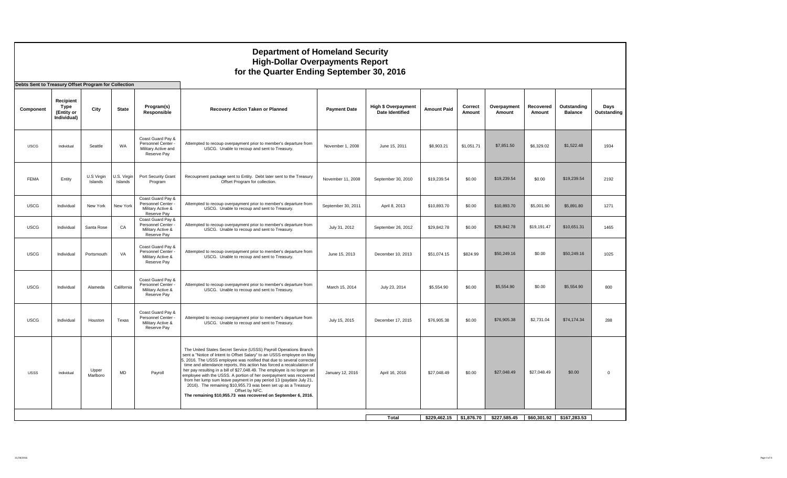|                                                                   |                                                |                       |                        |                                                                               | <b>Department of Homeland Security</b><br><b>High-Dollar Overpayments Report</b><br>for the Quarter Ending September 30, 2016                                                                                                                                                                                                                                                                                                                                                                                                                                                                                                                                              |                     |                                                      |                    |                   |                                         |                     |                               |                     |
|-------------------------------------------------------------------|------------------------------------------------|-----------------------|------------------------|-------------------------------------------------------------------------------|----------------------------------------------------------------------------------------------------------------------------------------------------------------------------------------------------------------------------------------------------------------------------------------------------------------------------------------------------------------------------------------------------------------------------------------------------------------------------------------------------------------------------------------------------------------------------------------------------------------------------------------------------------------------------|---------------------|------------------------------------------------------|--------------------|-------------------|-----------------------------------------|---------------------|-------------------------------|---------------------|
| Debts Sent to Treasury Offset Program for Collection<br>Component | Recipient<br>Type<br>(Entity or<br>Individual) | City                  | <b>State</b>           | Program(s)<br>Responsible                                                     | Recovery Action Taken or Planned                                                                                                                                                                                                                                                                                                                                                                                                                                                                                                                                                                                                                                           | <b>Payment Date</b> | <b>High \$ Overpayment</b><br><b>Date Identified</b> | <b>Amount Paid</b> | Correct<br>Amount | Overpayment<br>Amount                   | Recovered<br>Amount | Outstanding<br><b>Balance</b> | Days<br>Outstanding |
| <b>USCG</b>                                                       | Individual                                     | Seattle               | WA                     | Coast Guard Pay &<br>Personnel Center -<br>Military Active and<br>Reserve Pay | Attempted to recoup overpayment prior to member's departure from<br>USCG. Unable to recoup and sent to Treasury.                                                                                                                                                                                                                                                                                                                                                                                                                                                                                                                                                           | November 1, 2008    | June 15, 2011                                        | \$8,903.21         | \$1,051.71        | \$7,851.50                              | \$6,329.02          | \$1,522.48                    | 1934                |
| <b>FEMA</b>                                                       | Entity                                         | U.S Virgin<br>Islands | U.S. Virgin<br>Islands | Port Security Grant<br>Program                                                | Recoupment package sent to Entity. Debt later sent to the Treasury<br>Offset Program for collection.                                                                                                                                                                                                                                                                                                                                                                                                                                                                                                                                                                       | November 11, 2008   | September 30, 2010                                   | \$19,239.54        | \$0.00            | \$19,239.54                             | \$0.00              | \$19,239.54                   | 2192                |
| <b>USCG</b>                                                       | Individual                                     | New York              | New York               | Coast Guard Pay &<br>Personnel Center -<br>Military Active &<br>Reserve Pay   | Attempted to recoup overpayment prior to member's departure from<br>USCG. Unable to recoup and sent to Treasury.                                                                                                                                                                                                                                                                                                                                                                                                                                                                                                                                                           | September 30, 2011  | April 8, 2013                                        | \$10,893.70        | \$0.00            | \$10,893.70                             | \$5,001.90          | \$5,891.80                    | 1271                |
| <b>USCG</b>                                                       | Individual                                     | Santa Rose            | CA                     | Coast Guard Pay &<br>Personnel Center<br>Military Active &<br>Reserve Pay     | Attempted to recoup overpayment prior to member's departure from<br>USCG. Unable to recoup and sent to Treasury.                                                                                                                                                                                                                                                                                                                                                                                                                                                                                                                                                           | July 31, 2012       | September 26, 2012                                   | \$29,842.78        | \$0.00            | \$29,842.78                             | \$19,191.47         | \$10,651.31                   | 1465                |
| <b>USCG</b>                                                       | Individual                                     | Portsmouth            | VA                     | Coast Guard Pay &<br>Personnel Center -<br>Military Active &<br>Reserve Pay   | Attempted to recoup overpayment prior to member's departure from<br>USCG. Unable to recoup and sent to Treasury.                                                                                                                                                                                                                                                                                                                                                                                                                                                                                                                                                           | June 15, 2013       | December 10, 2013                                    | \$51,074.15        | \$824.99          | \$50,249.16                             | \$0.00              | \$50,249.16                   | 1025                |
| <b>USCG</b>                                                       | Individual                                     | Alameda               | California             | Coast Guard Pay &<br>Personnel Center -<br>Military Active &<br>Reserve Pay   | Attempted to recoup overpayment prior to member's departure from<br>USCG. Unable to recoup and sent to Treasury.                                                                                                                                                                                                                                                                                                                                                                                                                                                                                                                                                           | March 15, 2014      | July 23, 2014                                        | \$5,554.90         | \$0.00            | \$5,554.90                              | \$0.00              | \$5,554.90                    | 800                 |
| <b>USCG</b>                                                       | Individual                                     | Houston               | Texas                  | Coast Guard Pay &<br>Personnel Center -<br>Military Active &<br>Reserve Pay   | Attempted to recoup overpayment prior to member's departure from<br>USCG. Unable to recoup and sent to Treasury.                                                                                                                                                                                                                                                                                                                                                                                                                                                                                                                                                           | July 15, 2015       | December 17, 2015                                    | \$76,905.38        | \$0.00            | \$76,905.38                             | \$2,731.04          | \$74,174.34                   | 288                 |
| <b>USSS</b>                                                       | Individual                                     | Upper<br>Marlboro     | MD                     | Payroll                                                                       | The United States Secret Service (USSS) Payroll Operations Branch<br>sent a "Notice of Intent to Offset Salary" to an USSS employee on May<br>5, 2016. The USSS employee was notified that due to several corrected<br>time and attendance reports, this action has forced a recalculation of<br>her pay resulting in a bill of \$27,048.49. The employee is no longer an<br>employee with the USSS. A portion of her overpayment was recovered<br>from her lump sum leave payment in pay period 13 (paydate July 21,<br>2016). The remaining \$10,955.73 was been set up as a Treasury<br>Offset by NFC.<br>The remaining \$10,955.73 was recovered on September 6, 2016. | January 12, 2016    | April 16, 2016                                       | \$27,048.49        | \$0.00            | \$27,048.49                             | \$27,048.49         | \$0.00                        | $\overline{0}$      |
|                                                                   |                                                |                       |                        |                                                                               |                                                                                                                                                                                                                                                                                                                                                                                                                                                                                                                                                                                                                                                                            |                     | Total                                                |                    |                   | $$229,462.15$ $$1,876.70$ $$227,585.45$ |                     | \$60,301.92 \$167,283.53      |                     |